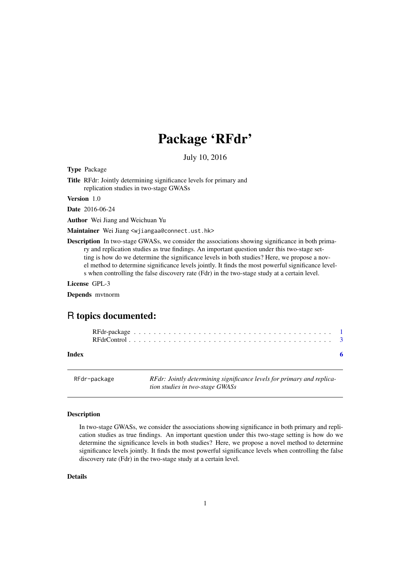## Package 'RFdr'

July 10, 2016

<span id="page-0-1"></span><span id="page-0-0"></span>Type Package

Title RFdr: Jointly determining significance levels for primary and replication studies in two-stage GWASs

Version 1.0

Date 2016-06-24

Author Wei Jiang and Weichuan Yu

Maintainer Wei Jiang <wjiangaa@connect.ust.hk>

Description In two-stage GWASs, we consider the associations showing significance in both primary and replication studies as true findings. An important question under this two-stage setting is how do we determine the significance levels in both studies? Here, we propose a novel method to determine significance levels jointly. It finds the most powerful significance levels when controlling the false discovery rate (Fdr) in the two-stage study at a certain level.

License GPL-3

Depends mvtnorm

### R topics documented:

**Index** [6](#page-5-0) **6** 

RFdr-package *RFdr: Jointly determining significance levels for primary and replication studies in two-stage GWASs*

#### <span id="page-0-2"></span>Description

In two-stage GWASs, we consider the associations showing significance in both primary and replication studies as true findings. An important question under this two-stage setting is how do we determine the significance levels in both studies? Here, we propose a novel method to determine significance levels jointly. It finds the most powerful significance levels when controlling the false discovery rate (Fdr) in the two-stage study at a certain level.

#### Details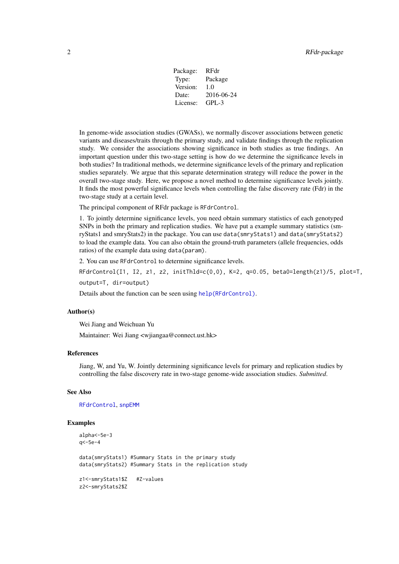| Package: | RFdr       |
|----------|------------|
| Type:    | Package    |
| Version: | 1.0        |
| Date:    | 2016-06-24 |
| License: | GPL-3      |

<span id="page-1-0"></span>In genome-wide association studies (GWASs), we normally discover associations between genetic variants and diseases/traits through the primary study, and validate findings through the replication study. We consider the associations showing significance in both studies as true findings. An important question under this two-stage setting is how do we determine the significance levels in both studies? In traditional methods, we determine significance levels of the primary and replication studies separately. We argue that this separate determination strategy will reduce the power in the overall two-stage study. Here, we propose a novel method to determine significance levels jointly. It finds the most powerful significance levels when controlling the false discovery rate (Fdr) in the two-stage study at a certain level.

The principal component of RFdr package is RFdrControl.

1. To jointly determine significance levels, you need obtain summary statistics of each genotyped SNPs in both the primary and replication studies. We have put a example summary statistics (smryStats1 and smryStats2) in the package. You can use data(smryStats1) and data(smryStats2) to load the example data. You can also obtain the ground-truth parameters (allele frequencies, odds ratios) of the example data using data(param).

2. You can use RFdrControl to determine significance levels.

RFdrControl(I1, I2, z1, z2, initThld= $c(0,0)$ , K=2, q=0.05, beta0=length(z1)/5, plot=T, output=T, dir=output)

Details about the function can be seen using [help\(RFdrControl\)](#page-0-1).

#### Author(s)

Wei Jiang and Weichuan Yu

Maintainer: Wei Jiang <wjiangaa@connect.ust.hk>

#### References

Jiang, W, and Yu, W. Jointly determining significance levels for primary and replication studies by controlling the false discovery rate in two-stage genome-wide association studies. *Submitted*.

#### See Also

[RFdrControl](#page-2-1), [snpEMM](#page-2-2)

#### Examples

```
alpha<-5e-3
q<-5e-4
data(smryStats1) #Summary Stats in the primary study
data(smryStats2) #Summary Stats in the replication study
z1<-smryStats1$Z #Z-values
z2<-smryStats2$Z
```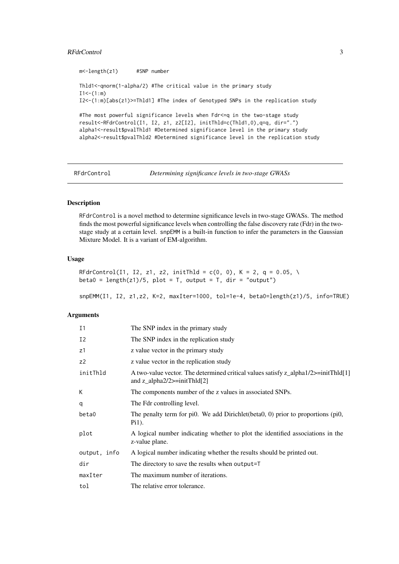#### <span id="page-2-0"></span>RFdrControl 3

m<-length(z1) #SNP number

Thld1<-qnorm(1-alpha/2) #The critical value in the primary study  $I1<-(1:m)$ I2<-(1:m)[abs(z1)>=Thld1] #The index of Genotyped SNPs in the replication study #The most powerful significance levels when Fdr<=q in the two-stage study result<-RFdrControl(I1, I2, z1, z2[I2], initThld=c(Thld1,0),q=q, dir=".") alpha1<-result\$pvalThld1 #Determined significance level in the primary study alpha2<-result\$pvalThld2 #Determined significance level in the replication study

<span id="page-2-1"></span>RFdrControl *Determining significance levels in two-stage GWASs*

#### <span id="page-2-2"></span>Description

RFdrControl is a novel method to determine significance levels in two-stage GWASs. The method finds the most powerful significance levels when controlling the false discovery rate (Fdr) in the twostage study at a certain level. snpEMM is a built-in function to infer the parameters in the Gaussian Mixture Model. It is a variant of EM-algorithm.

#### Usage

```
RFdrControl(I1, I2, z1, z2, initThld = c(0, 0), K = 2, q = 0.05, \
beta0 = length(z1)/5, plot = T, output = T, dir = "output")
```
snpEMM(I1, I2, z1,z2, K=2, maxIter=1000, tol=1e-4, beta0=length(z1)/5, info=TRUE)

#### Arguments

| I <sub>1</sub> | The SNP index in the primary study                                                                                    |
|----------------|-----------------------------------------------------------------------------------------------------------------------|
| I2             | The SNP index in the replication study                                                                                |
| z1             | z value vector in the primary study                                                                                   |
| Z <sup>2</sup> | z value vector in the replication study                                                                               |
| initThld       | A two-value vector. The determined critical values satisfy z_alpha1/2>=initThld[1]<br>and z alpha $2/2$ >=initThld[2] |
| К              | The components number of the z values in associated SNPs.                                                             |
| q              | The Fdr controlling level.                                                                                            |
| beta0          | The penalty term for pi0. We add Dirichlet (beta0, 0) prior to proportions (pi0,<br>$P_{11}$ ).                       |
| plot           | A logical number indicating whether to plot the identified associations in the<br>z-value plane.                      |
| output, info   | A logical number indicating whether the results should be printed out.                                                |
| dir            | The directory to save the results when output=T                                                                       |
| maxIter        | The maximum number of iterations.                                                                                     |
| tol            | The relative error tolerance.                                                                                         |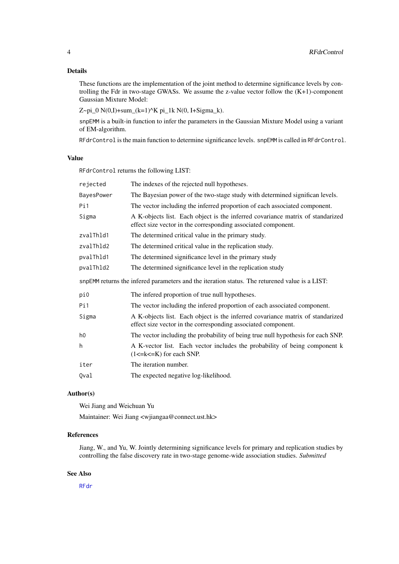#### <span id="page-3-0"></span>Details

These functions are the implementation of the joint method to determine significance levels by controlling the Fdr in two-stage GWASs. We assume the z-value vector follow the  $(K+1)$ -component Gaussian Mixture Model:

Z~pi\_0  $N(0,I)$ +sum\_(k=1)^K pi\_1k  $N(0, I+Sigma_R)$ .

snpEMM is a built-in function to infer the parameters in the Gaussian Mixture Model using a variant of EM-algorithm.

RFdrControl is the main function to determine significance levels. snpEMM is called in RFdrControl.

#### Value

RFdrControl returns the following LIST:

| rejected                                                                                       | The indexes of the rejected null hypotheses.                                                                                                    |  |  |
|------------------------------------------------------------------------------------------------|-------------------------------------------------------------------------------------------------------------------------------------------------|--|--|
| BayesPower                                                                                     | The Bayesian power of the two-stage study with determined significan levels.                                                                    |  |  |
| Pi1                                                                                            | The vector including the inferred proportion of each associated component.                                                                      |  |  |
| Sigma                                                                                          | A K-objects list. Each object is the inferred covariance matrix of standarized<br>effect size vector in the corresponding associated component. |  |  |
| zvalThld1                                                                                      | The determined critical value in the primary study.                                                                                             |  |  |
| zvalThld2                                                                                      | The determined critical value in the replication study.                                                                                         |  |  |
| pvalThld1                                                                                      | The determined significance level in the primary study                                                                                          |  |  |
| pvalThld2                                                                                      | The determined significance level in the replication study                                                                                      |  |  |
| snpEMM returns the infered parameters and the iteration status. The returened value is a LIST: |                                                                                                                                                 |  |  |
| pi0                                                                                            | The infered proportion of true null hypotheses.                                                                                                 |  |  |
| Pi1                                                                                            | The vector including the infered proportion of each associated component.                                                                       |  |  |
| Sigma                                                                                          | A K-objects list. Each object is the inferred covariance matrix of standarized<br>effect size vector in the corresponding associated component. |  |  |
| h <sub>0</sub>                                                                                 | The vector including the probability of being true null hypothesis for each SNP.                                                                |  |  |
|                                                                                                |                                                                                                                                                 |  |  |
| h                                                                                              | A K-vector list. Each vector includes the probability of being component k<br>$(1 \le k \le K)$ for each SNP.                                   |  |  |
| iter                                                                                           | The iteration number.                                                                                                                           |  |  |

#### Author(s)

Wei Jiang and Weichuan Yu Maintainer: Wei Jiang <wjiangaa@connect.ust.hk>

#### References

Jiang, W., and Yu, W. Jointly determining significance levels for primary and replication studies by controlling the false discovery rate in two-stage genome-wide association studies. *Submitted*

#### See Also

[RFdr](#page-0-2)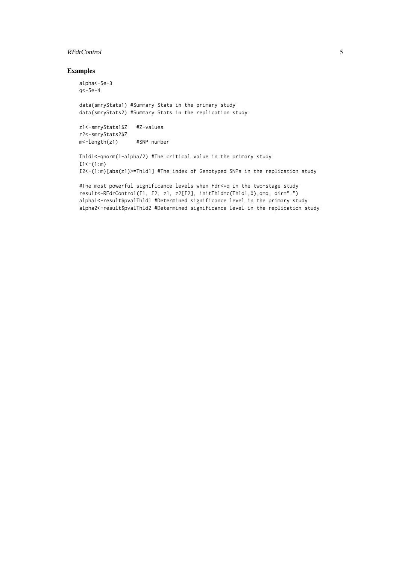#### RFdrControl 5

#### Examples

```
alpha<-5e-3
q<-5e-4
data(smryStats1) #Summary Stats in the primary study
data(smryStats2) #Summary Stats in the replication study
```

```
z1<-smryStats1$Z #Z-values
z2<-smryStats2$Z
m<-length(z1) #SNP number
```

```
Thld1<-qnorm(1-alpha/2) #The critical value in the primary study
I1<-(1:m)I2<-(1:m)[abs(z1)>=Thld1] #The index of Genotyped SNPs in the replication study
```

```
#The most powerful significance levels when Fdr<=q in the two-stage study
result<-RFdrControl(I1, I2, z1, z2[I2], initThld=c(Thld1,0),q=q, dir=".")
alpha1<-result$pvalThld1 #Determined significance level in the primary study
alpha2<-result$pvalThld2 #Determined significance level in the replication study
```